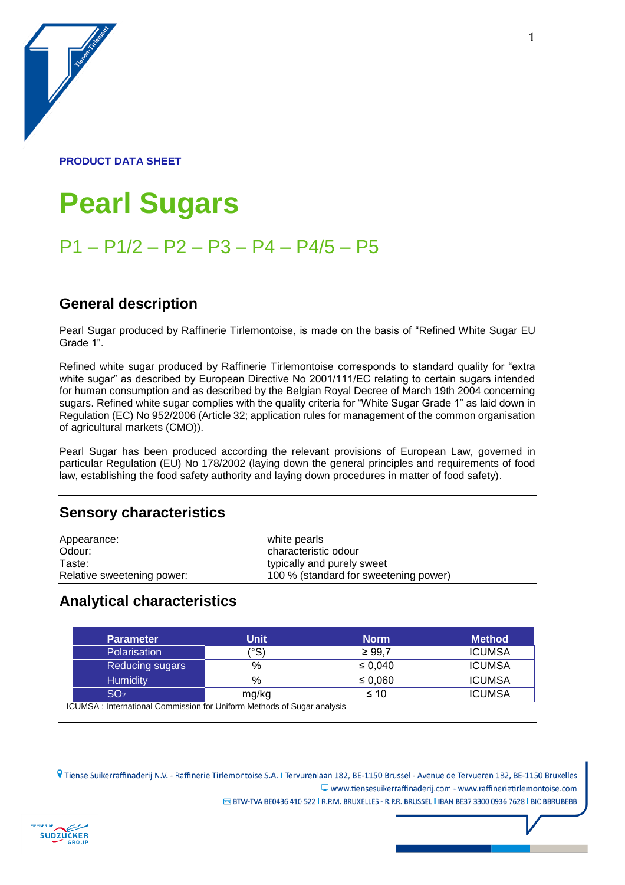#### **PRODUCT DATA SHEET**

a de la construction de la construction de la construction de la construction de la construction de la construction de la construction de la construction de la construction de la construction de la construction de la const

# **Pearl Sugars**

## P1 – P1/2 – P2 – P3 – P4 – P4/5 – P5

#### **General description**

Pearl Sugar produced by Raffinerie Tirlemontoise, is made on the basis of "Refined White Sugar EU Grade 1".

Refined white sugar produced by Raffinerie Tirlemontoise corresponds to standard quality for "extra white sugar" as described by European Directive No 2001/111/EC relating to certain sugars intended for human consumption and as described by the Belgian Royal Decree of March 19th 2004 concerning sugars. Refined white sugar complies with the quality criteria for "White Sugar Grade 1" as laid down in Regulation (EC) No 952/2006 (Article 32; application rules for management of the common organisation of agricultural markets (CMO)).

Pearl Sugar has been produced according the relevant provisions of European Law, governed in particular Regulation (EU) No 178/2002 (laying down the general principles and requirements of food law, establishing the food safety authority and laying down procedures in matter of food safety).

#### **Sensory characteristics**

| Appearance:                | white pearls                          |
|----------------------------|---------------------------------------|
| Odour:                     | characteristic odour                  |
| Taste:                     | typically and purely sweet            |
| Relative sweetening power: | 100 % (standard for sweetening power) |

#### **Analytical characteristics**

| <b>Parameter</b> | <b>Unit</b> | <b>Norm</b>  | <b>Method</b> |
|------------------|-------------|--------------|---------------|
| Polarisation     | (°S)        | $\geq 99.7$  | <b>ICUMSA</b> |
| Reducing sugars  | %           | $\leq 0.040$ | <b>ICUMSA</b> |
| <b>Humidity</b>  | %           | ≤ 0.060      | <b>ICUMSA</b> |
| SO <sub>2</sub>  | mg/kg       | $\leq 10$    | <b>ICUMSA</b> |

ICUMSA : International Commission for Uniform Methods of Sugar analysis

9 Tiense Suikerraffinaderij N.V. - Raffinerie Tirlemontoise S.A. I Tervurenlaan 182, BE-1150 Brussel - Avenue de Tervueren 182, BE-1150 Bruxelles  $\Box$  www.tiensesuikerraffinaderij.com - www.raffinerietirlemontoise.com E BTW-TVA BE0436 410 522 | R.P.M. BRUXELLES - R.P.R. BRUSSEL | IBAN BE37 3300 0936 7628 | BIC BBRUBEBB

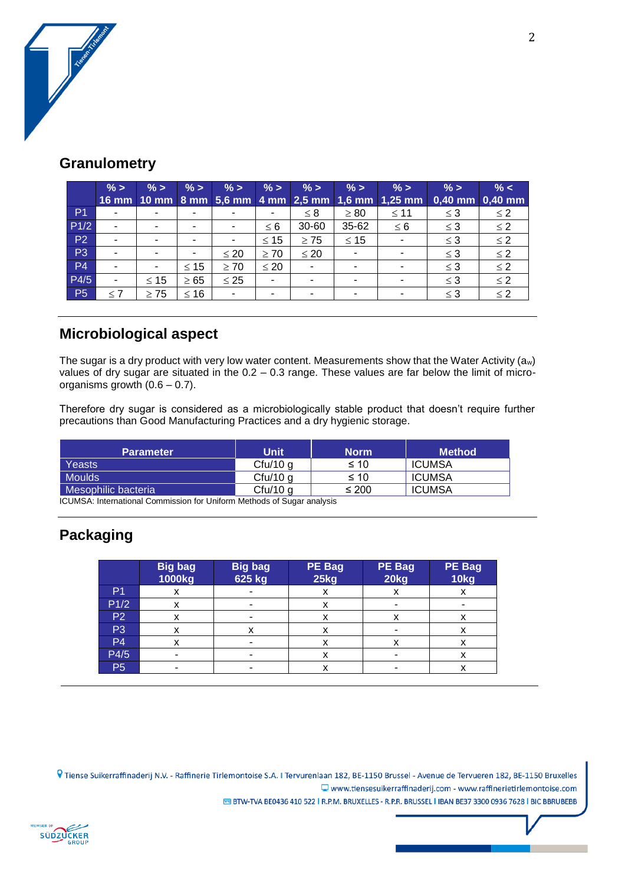

#### **Granulometry**

|                | $\% >$   | $\frac{9}{6}$ > | $\%$ >    | $\% >$                   | $\%$ >    | $\%$ ><br>16 mm   10 mm   8 mm   5,6 mm   4 mm   2,5 mm   1,6 mm | $\%$ >    | $\% >$<br>$1,25$ mm | $\%$ >   | $\% <$<br>$0,40$ mm $0,40$ mm |
|----------------|----------|-----------------|-----------|--------------------------|-----------|------------------------------------------------------------------|-----------|---------------------|----------|-------------------------------|
| P <sub>1</sub> |          |                 |           |                          | ۰         | $\leq 8$                                                         | $\geq 80$ | $\leq 11$           | $\leq$ 3 | $\leq 2$                      |
| P1/2           |          | -               |           | $\blacksquare$           | $\leq 6$  | 30-60                                                            | 35-62     | $\leq 6$            | $\leq$ 3 | $\leq$ 2                      |
| P <sub>2</sub> |          | -               |           | $\overline{\phantom{0}}$ | $\leq 15$ | $\geq 75$                                                        | $\leq 15$ |                     | $\leq$ 3 | $\leq$ 2                      |
| P <sub>3</sub> |          | ۰               |           | $\leq 20$                | $\geq 70$ | $\leq 20$                                                        | ٠         |                     | $\leq$ 3 | $\leq$ 2                      |
| <b>P4</b>      |          | ۰               | $\leq 15$ | $\geq 70$                | $\leq 20$ | $\overline{\phantom{a}}$                                         | ٠         |                     | $\leq$ 3 | $\leq$ 2                      |
| P4/5           |          | $\leq 15$       | $\geq 65$ | $\leq 25$                | ۰         | ۰                                                                | ٠         |                     | $\leq$ 3 | $\leq$ 2                      |
| <b>P5</b>      | $\leq 7$ | $\geq 75$       | ≤ 16      | $\blacksquare$           | -         | ۰                                                                | -         |                     | $\leq 3$ | $\leq$ 2                      |

#### **Microbiological aspect**

The sugar is a dry product with very low water content. Measurements show that the Water Activity (aw) values of dry sugar are situated in the 0.2 – 0.3 range. These values are far below the limit of microorganisms growth (0.6 – 0.7).

Therefore dry sugar is considered as a microbiologically stable product that doesn't require further precautions than Good Manufacturing Practices and a dry hygienic storage.

| <b>Unit</b> | <b>Norm</b> | <b>Method</b> |
|-------------|-------------|---------------|
| $C$ fu/10 g | ≤ 10        | ICUMSA        |
| Cfu/10 g    | ≤ 10        | ICUMSA        |
| $Cfu/10$ g  | $\leq 200$  | <b>ICUMSA</b> |
|             |             |               |

ICUMSA: International Commission for Uniform Methods of Sugar analysis

### **Packaging**

|                | <b>Big bag</b><br>1000kg | <b>Big bag</b><br>625 kg | <b>PE Bag</b><br>25kg | <b>PE Bag</b><br>20kg | <b>PE Bag</b><br>10kg |
|----------------|--------------------------|--------------------------|-----------------------|-----------------------|-----------------------|
| P <sub>1</sub> | х                        |                          | x                     | х                     | x                     |
| P1/2           | x                        |                          | x                     |                       |                       |
| <b>P2</b>      | x                        |                          | x                     | x                     | x                     |
| P <sub>3</sub> | x                        | x                        | x                     |                       | x                     |
| P4             | x                        |                          | x                     | x                     | x                     |
| P4/5           |                          |                          | x                     |                       | x                     |
| P <sub>5</sub> |                          |                          | x                     |                       | x                     |

© Tiense Suikerraffinaderij N.V. - Raffinerie Tirlemontoise S.A. I Tervurenlaan 182, BE-1150 Brussel - Avenue de Tervueren 182, BE-1150 Bruxelles www.tiensesuikerraffinaderij.com - www.raffinerietirlemontoise.com E BTW-TVA BE0436 410 522 | R.P.M. BRUXELLES - R.P.R. BRUSSEL | IBAN BE37 3300 0936 7628 | BIC BBRUBEBB

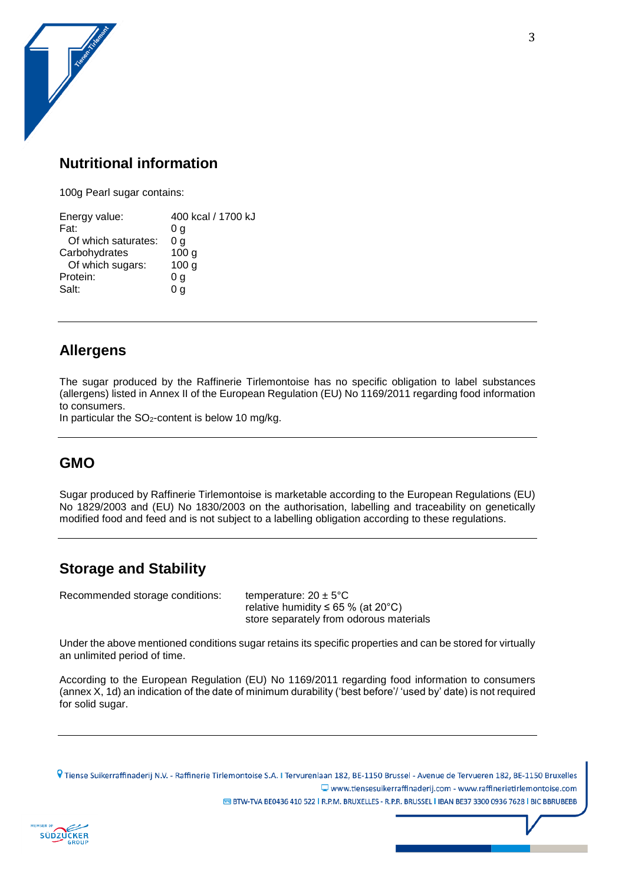### **Nutritional information**

100g Pearl sugar contains:

| Energy value:       | 400 kcal / 1700 kJ |
|---------------------|--------------------|
| Fat:                | 0 g                |
| Of which saturates: | 0 g                |
| Carbohydrates       | 100 <sub>g</sub>   |
| Of which sugars:    | 100 <sub>g</sub>   |
| Protein:            | 0 g                |
| Salt:               | 0 a                |

#### **Allergens**

The sugar produced by the Raffinerie Tirlemontoise has no specific obligation to label substances (allergens) listed in Annex II of the European Regulation (EU) No 1169/2011 regarding food information to consumers.

In particular the  $SO<sub>2</sub>$ -content is below 10 mg/kg.

### **GMO**

Sugar produced by Raffinerie Tirlemontoise is marketable according to the European Regulations (EU) No 1829/2003 and (EU) No 1830/2003 on the authorisation, labelling and traceability on genetically modified food and feed and is not subject to a labelling obligation according to these regulations.

### **Storage and Stability**

Recommended storage conditions: temperature:  $20 \pm 5^{\circ}$ C

relative humidity  $\leq 65$  % (at 20°C) store separately from odorous materials

Under the above mentioned conditions sugar retains its specific properties and can be stored for virtually an unlimited period of time.

According to the European Regulation (EU) No 1169/2011 regarding food information to consumers (annex X, 1d) an indication of the date of minimum durability ('best before'/ 'used by' date) is not required for solid sugar.

© Tiense Suikerraffinaderij N.V. - Raffinerie Tirlemontoise S.A. I Tervurenlaan 182, BE-1150 Brussel - Avenue de Tervueren 182, BE-1150 Bruxelles  $\Box$  www.tiensesuikerraffinaderij.com - www.raffinerietirlemontoise.com E BTW-TVA BE0436 410 522 | R.P.M. BRUXELLES - R.P.R. BRUSSEL | IBAN BE37 3300 0936 7628 | BIC BBRUBEBB